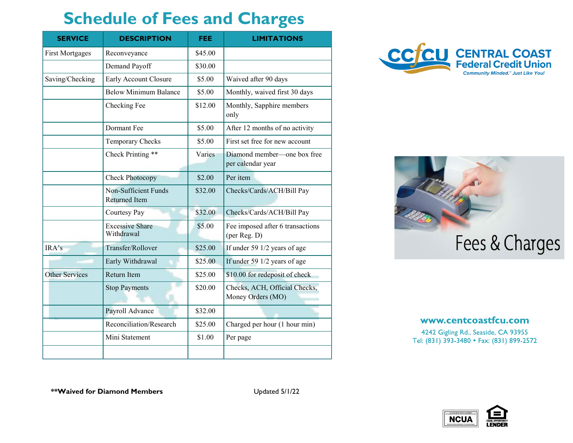## **Schedule of Fees and Charges**

| <b>SERVICE</b>         | <b>DESCRIPTION</b>                                  | <b>FEE</b> | <b>LIMITATIONS</b>                                 |
|------------------------|-----------------------------------------------------|------------|----------------------------------------------------|
| <b>First Mortgages</b> | Reconveyance                                        | \$45.00    |                                                    |
|                        | Demand Payoff                                       | \$30.00    |                                                    |
| Saving/Checking        | Early Account Closure                               | \$5.00     | Waived after 90 days                               |
|                        | <b>Below Minimum Balance</b>                        | \$5.00     | Monthly, waived first 30 days                      |
|                        | Checking Fee                                        | \$12.00    | Monthly, Sapphire members<br>only                  |
|                        | Dormant Fee                                         | \$5.00     | After 12 months of no activity                     |
|                        | Temporary Checks                                    | \$5.00     | First set free for new account                     |
|                        | Check Printing **                                   | Varies     | Diamond member-one box free<br>per calendar year   |
|                        | Check Photocopy                                     | \$2.00     | Per item                                           |
|                        | <b>Non-Sufficient Funds</b><br><b>Returned Item</b> | \$32.00    | Checks/Cards/ACH/Bill Pay                          |
|                        | Courtesy Pay                                        | \$32.00    | Checks/Cards/ACH/Bill Pay                          |
|                        | <b>Excessive Share</b><br>Withdrawal                | \$5.00     | Fee imposed after 6 transactions<br>(per Reg. D)   |
| IRA's                  | Transfer/Rollover                                   | \$25.00    | If under 59 1/2 years of age                       |
|                        | Early Withdrawal                                    | \$25.00    | If under 59 1/2 years of age                       |
| <b>Other Services</b>  | <b>Return Item</b>                                  | \$25.00    | \$10.00 for redeposit of check                     |
|                        | <b>Stop Payments</b>                                | \$20.00    | Checks, ACH, Official Checks,<br>Money Orders (MO) |
|                        | Payroll Advance                                     | \$32.00    |                                                    |
|                        | Reconciliation/Research                             | \$25.00    | Charged per hour (1 hour min)                      |
|                        | Mini Statement                                      | \$1.00     | Per page                                           |
|                        |                                                     |            |                                                    |





## www.centcoastfcu.com

4242 Gigling Rd., Seaside, CA 93955 Tel: (831) 393-3480 • Fax: (831) 899-2572